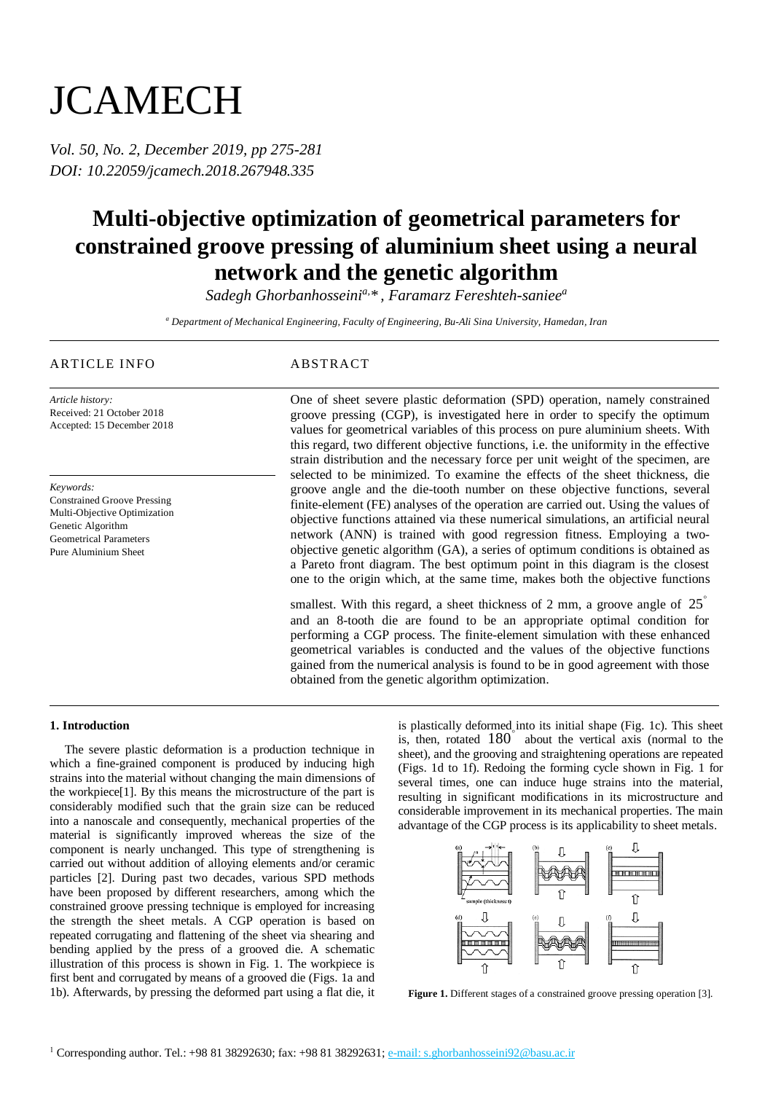# **JCAMECH**

*Vol. 50, No. 2, December 2019, pp 275-281 DOI: 10.22059/jcamech.2018.267948.335*

## **Multi-objective optimization of geometrical parameters for constrained groove pressing of aluminium sheet using a neural network and the genetic algorithm**

*Sadegh Ghorbanhosseinia, \* , Faramarz Fereshteh-saniee<sup>a</sup>*

*<sup>a</sup> Department of Mechanical Engineering, Faculty of Engineering, Bu-Ali Sina University, Hamedan, Iran*

### ARTICLE INFO ABSTRACT

*Article history:* Received: 21 October 2018 Accepted: 15 December 2018

*Keywords:*

Constrained Groove Pressing Multi-Objective Optimization Genetic Algorithm Geometrical Parameters Pure Aluminium Sheet

One of sheet severe plastic deformation (SPD) operation, namely constrained groove pressing (CGP), is investigated here in order to specify the optimum values for geometrical variables of this process on pure aluminium sheets. With this regard, two different objective functions, i.e. the uniformity in the effective strain distribution and the necessary force per unit weight of the specimen, are selected to be minimized. To examine the effects of the sheet thickness, die groove angle and the die-tooth number on these objective functions, several finite-element (FE) analyses of the operation are carried out. Using the values of objective functions attained via these numerical simulations, an artificial neural network (ANN) is trained with good regression fitness. Employing a twoobjective genetic algorithm (GA), a series of optimum conditions is obtained as a Pareto front diagram. The best optimum point in this diagram is the closest one to the origin which, at the same time, makes both the objective functions

smallest. With this regard, a sheet thickness of 2 mm, a groove angle of  $25^{\circ}$ and an 8-tooth die are found to be an appropriate optimal condition for performing a CGP process. The finite-element simulation with these enhanced geometrical variables is conducted and the values of the objective functions gained from the numerical analysis is found to be in good agreement with those obtained from the genetic algorithm optimization.

#### **1. Introduction**

The severe plastic deformation is a production technique in which a fine-grained component is produced by inducing high strains into the material without changing the main dimensions of the workpiece[1]. By this means the microstructure of the part is considerably modified such that the grain size can be reduced into a nanoscale and consequently, mechanical properties of the material is significantly improved whereas the size of the component is nearly unchanged. This type of strengthening is carried out without addition of alloying elements and/or ceramic particles [2]. During past two decades, various SPD methods have been proposed by different researchers, among which the constrained groove pressing technique is employed for increasing the strength the sheet metals. A CGP operation is based on repeated corrugating and flattening of the sheet via shearing and bending applied by the press of a grooved die. A schematic illustration of this process is shown in Fig. 1. The workpiece is first bent and corrugated by means of a grooved die (Figs. 1a and 1b). Afterwards, by pressing the deformed part using a flat die, it

is plastically deformed into its initial shape (Fig. 1c). This sheet is, then, rotated 180<sup>°</sup> about the vertical axis (normal to the sheet), and the grooving and straightening operations are repeated (Figs. 1d to 1f). Redoing the forming cycle shown in Fig. 1 for several times, one can induce huge strains into the material, resulting in significant modifications in its microstructure and considerable improvement in its mechanical properties. The main advantage of the CGP process is its applicability to sheet metals.



**Figure 1.** Different stages of a constrained groove pressing operation [3]*.*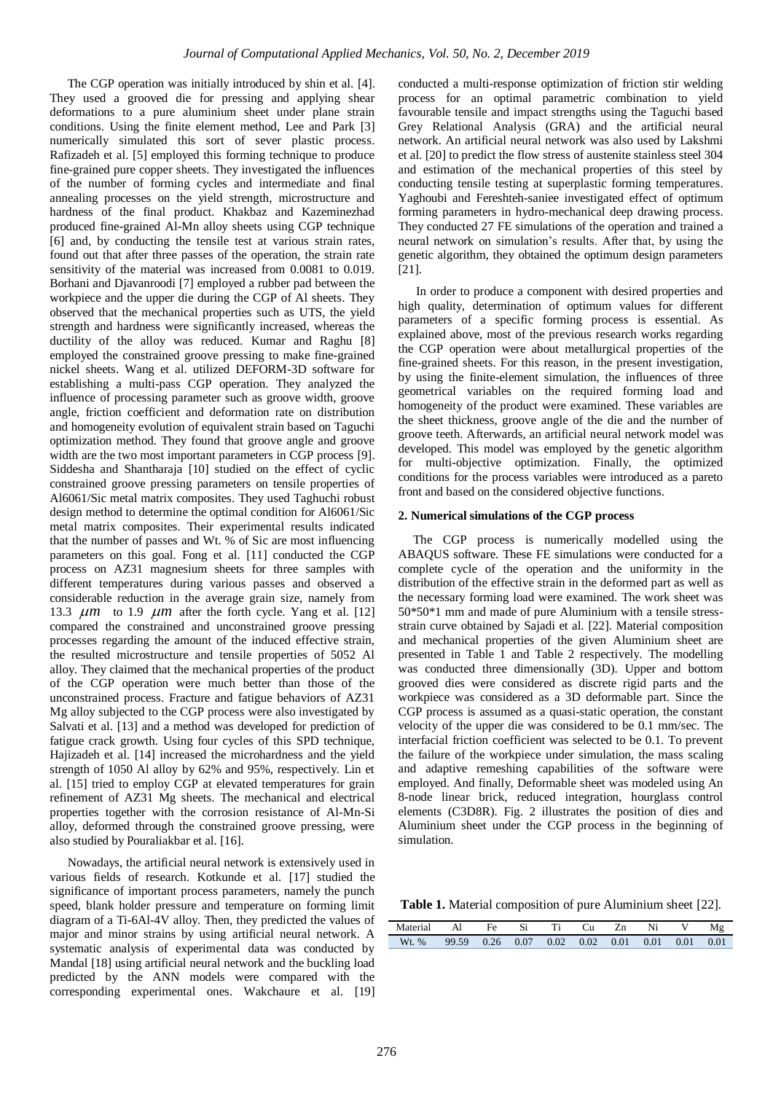The CGP operation was initially introduced by shin et al. [4]. They used a grooved die for pressing and applying shear deformations to a pure aluminium sheet under plane strain conditions. Using the finite element method, Lee and Park [3] numerically simulated this sort of sever plastic process. Rafizadeh et al. [5] employed this forming technique to produce fine-grained pure copper sheets. They investigated the influences of the number of forming cycles and intermediate and final annealing processes on the yield strength, microstructure and hardness of the final product. Khakbaz and Kazeminezhad produced fine-grained Al-Mn alloy sheets using CGP technique [6] and, by conducting the tensile test at various strain rates, found out that after three passes of the operation, the strain rate sensitivity of the material was increased from 0.0081 to 0.019. Borhani and Djavanroodi [7] employed a rubber pad between the workpiece and the upper die during the CGP of Al sheets. They observed that the mechanical properties such as UTS, the yield strength and hardness were significantly increased, whereas the ductility of the alloy was reduced. Kumar and Raghu [8] employed the constrained groove pressing to make fine-grained nickel sheets. Wang et al. utilized DEFORM-3D software for establishing a multi-pass CGP operation. They analyzed the influence of processing parameter such as groove width, groove angle, friction coefficient and deformation rate on distribution and homogeneity evolution of equivalent strain based on Taguchi optimization method. They found that groove angle and groove width are the two most important parameters in CGP process [9]. Siddesha and Shantharaja [10] studied on the effect of cyclic constrained groove pressing parameters on tensile properties of Al6061/Sic metal matrix composites. They used Taghuchi robust design method to determine the optimal condition for Al6061/Sic metal matrix composites. Their experimental results indicated that the number of passes and Wt. % of Sic are most influencing parameters on this goal. Fong et al. [11] conducted the CGP process on AZ31 magnesium sheets for three samples with different temperatures during various passes and observed a considerable reduction in the average grain size, namely from 13.3  $\mu$ m to 1.9  $\mu$ m after the forth cycle. Yang et al. [12] compared the constrained and unconstrained groove pressing processes regarding the amount of the induced effective strain, the resulted microstructure and tensile properties of 5052 Al alloy. They claimed that the mechanical properties of the product of the CGP operation were much better than those of the unconstrained process. Fracture and fatigue behaviors of AZ31 Mg alloy subjected to the CGP process were also investigated by Salvati et al. [13] and a method was developed for prediction of fatigue crack growth. Using four cycles of this SPD technique, Hajizadeh et al. [14] increased the microhardness and the yield strength of 1050 Al alloy by 62% and 95%, respectively. Lin et al. [15] tried to employ CGP at elevated temperatures for grain refinement of AZ31 Mg sheets. The mechanical and electrical properties together with the corrosion resistance of Al-Mn-Si alloy, deformed through the constrained groove pressing, were also studied by Pouraliakbar et al. [16].

Nowadays, the artificial neural network is extensively used in various fields of research. Kotkunde et al. [17] studied the significance of important process parameters, namely the punch speed, blank holder pressure and temperature on forming limit diagram of a Ti-6Al-4V alloy. Then, they predicted the values of major and minor strains by using artificial neural network. A systematic analysis of experimental data was conducted by Mandal [18] using artificial neural network and the buckling load predicted by the ANN models were compared with the corresponding experimental ones. Wakchaure et al. [19]

conducted a multi-response optimization of friction stir welding process for an optimal parametric combination to yield favourable tensile and impact strengths using the Taguchi based Grey Relational Analysis (GRA) and the artificial neural network. An artificial neural network was also used by Lakshmi et al. [20] to predict the flow stress of austenite stainless steel 304 and estimation of the mechanical properties of this steel by conducting tensile testing at superplastic forming temperatures. Yaghoubi and Fereshteh-saniee investigated effect of optimum forming parameters in hydro-mechanical deep drawing process. They conducted 27 FE simulations of the operation and trained a neural network on simulation's results. After that, by using the genetic algorithm, they obtained the optimum design parameters [21].

In order to produce a component with desired properties and high quality, determination of optimum values for different parameters of a specific forming process is essential. As explained above, most of the previous research works regarding the CGP operation were about metallurgical properties of the fine-grained sheets. For this reason, in the present investigation, by using the finite-element simulation, the influences of three geometrical variables on the required forming load and homogeneity of the product were examined. These variables are the sheet thickness, groove angle of the die and the number of groove teeth. Afterwards, an artificial neural network model was developed. This model was employed by the genetic algorithm for multi-objective optimization. Finally, the optimized conditions for the process variables were introduced as a pareto front and based on the considered objective functions.

#### **2. Numerical simulations of the CGP process**

The CGP process is numerically modelled using the ABAQUS software. These FE simulations were conducted for a complete cycle of the operation and the uniformity in the distribution of the effective strain in the deformed part as well as the necessary forming load were examined. The work sheet was 50\*50\*1 mm and made of pure Aluminium with a tensile stressstrain curve obtained by Sajadi et al. [22]. Material composition and mechanical properties of the given Aluminium sheet are presented in Table 1 and Table 2 respectively. The modelling was conducted three dimensionally (3D). Upper and bottom grooved dies were considered as discrete rigid parts and the workpiece was considered as a 3D deformable part. Since the CGP process is assumed as a quasi-static operation, the constant velocity of the upper die was considered to be 0.1 mm/sec. The interfacial friction coefficient was selected to be 0.1. To prevent the failure of the workpiece under simulation, the mass scaling and adaptive remeshing capabilities of the software were employed. And finally, Deformable sheet was modeled using An 8-node linear brick, reduced integration, hourglass control elements (C3D8R). Fig. 2 illustrates the position of dies and Aluminium sheet under the CGP process in the beginning of simulation.

**Table 1.** Material composition of pure Aluminium sheet [22].

| Material | Al a  | Fe. | Si                                               | Ti | <b>Cu</b> | Zn | Ni | Μg   |
|----------|-------|-----|--------------------------------------------------|----|-----------|----|----|------|
| Wt. %    | 99.59 |     | $0.26$ $0.07$ $0.02$ $0.02$ $0.01$ $0.01$ $0.01$ |    |           |    |    | 0.01 |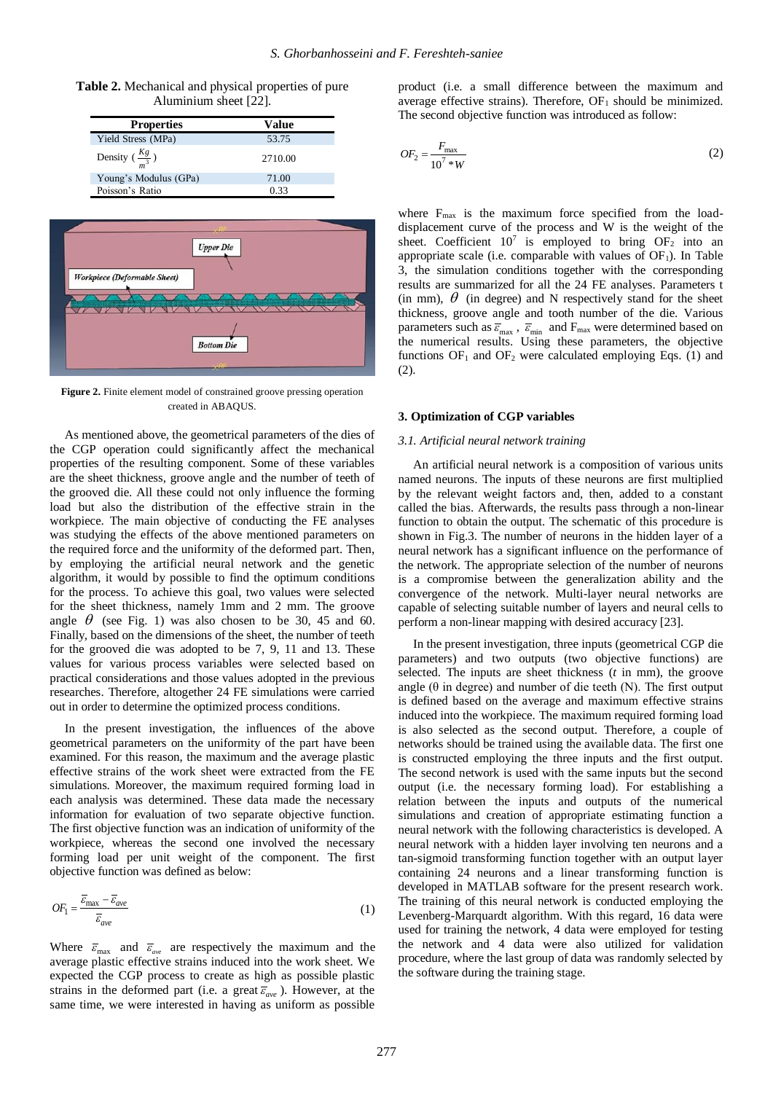**Table 2.** Mechanical and physical properties of pure Aluminium sheet [22].

| <b>Properties</b>          | Value   |
|----------------------------|---------|
| Yield Stress (MPa)         | 53.75   |
| Density $(\frac{Kg}{m^3})$ | 2710.00 |
| Young's Modulus (GPa)      | 71.00   |
| Poisson's Ratio            | 0.33    |



**Figure 2.** Finite element model of constrained groove pressing operation created in ABAQUS.

As mentioned above, the geometrical parameters of the dies of the CGP operation could significantly affect the mechanical properties of the resulting component. Some of these variables are the sheet thickness, groove angle and the number of teeth of the grooved die. All these could not only influence the forming load but also the distribution of the effective strain in the workpiece. The main objective of conducting the FE analyses was studying the effects of the above mentioned parameters on the required force and the uniformity of the deformed part. Then, by employing the artificial neural network and the genetic algorithm, it would by possible to find the optimum conditions for the process. To achieve this goal, two values were selected for the sheet thickness, namely 1mm and 2 mm. The groove angle  $\theta$  (see Fig. 1) was also chosen to be 30, 45 and 60. Finally, based on the dimensions of the sheet, the number of teeth for the grooved die was adopted to be 7, 9, 11 and 13. These values for various process variables were selected based on practical considerations and those values adopted in the previous researches. Therefore, altogether 24 FE simulations were carried out in order to determine the optimized process conditions.

In the present investigation, the influences of the above geometrical parameters on the uniformity of the part have been examined. For this reason, the maximum and the average plastic effective strains of the work sheet were extracted from the FE simulations. Moreover, the maximum required forming load in each analysis was determined. These data made the necessary information for evaluation of two separate objective function. The first objective function was an indication of uniformity of the workpiece, whereas the second one involved the necessary forming load per unit weight of the component. The first objective function was defined as below:

$$
OF_1 = \frac{\overline{\varepsilon}_{\text{max}} - \overline{\varepsilon}_{\text{ave}}}{\overline{\varepsilon}_{\text{ave}}} \tag{1}
$$

Where  $\bar{\varepsilon}_{\text{max}}$  and  $\bar{\varepsilon}_{\text{ave}}$  are respectively the maximum and the average plastic effective strains induced into the work sheet. We expected the CGP process to create as high as possible plastic strains in the deformed part (i.e. a great  $\bar{\varepsilon}_{ave}$ ). However, at the same time, we were interested in having as uniform as possible

product (i.e. a small difference between the maximum and average effective strains). Therefore,  $OF<sub>1</sub>$  should be minimized. The second objective function was introduced as follow:

$$
OF_2 = \frac{F_{\text{max}}}{10^7 \cdot w}
$$
 (2)

where  $F_{\text{max}}$  is the maximum force specified from the loaddisplacement curve of the process and W is the weight of the sheet. Coefficient  $10^7$  is employed to bring OF<sub>2</sub> into an appropriate scale (i.e. comparable with values of  $OF<sub>1</sub>$ ). In Table 3, the simulation conditions together with the corresponding results are summarized for all the 24 FE analyses. Parameters t (in mm),  $\theta$  (in degree) and N respectively stand for the sheet thickness, groove angle and tooth number of the die. Various parameters such as  $\overline{\epsilon}_{\text{max}}$ ,  $\overline{\epsilon}_{\text{min}}$  and  $F_{\text{max}}$  were determined based on the numerical results. Using these parameters, the objective functions  $OF<sub>1</sub>$  and  $OF<sub>2</sub>$  were calculated employing Eqs. (1) and (2).

#### **3. Optimization of CGP variables**

#### *3.1. Artificial neural network training*

An artificial neural network is a composition of various units named neurons. The inputs of these neurons are first multiplied by the relevant weight factors and, then, added to a constant called the bias. Afterwards, the results pass through a non-linear function to obtain the output. The schematic of this procedure is shown in Fig.3. The number of neurons in the hidden layer of a neural network has a significant influence on the performance of the network. The appropriate selection of the number of neurons is a compromise between the generalization ability and the convergence of the network. Multi-layer neural networks are capable of selecting suitable number of layers and neural cells to perform a non-linear mapping with desired accuracy [23].

In the present investigation, three inputs (geometrical CGP die parameters) and two outputs (two objective functions) are selected. The inputs are sheet thickness (*t* in mm), the groove angle ( $\theta$  in degree) and number of die teeth (N). The first output is defined based on the average and maximum effective strains induced into the workpiece. The maximum required forming load is also selected as the second output. Therefore, a couple of networks should be trained using the available data. The first one is constructed employing the three inputs and the first output. The second network is used with the same inputs but the second output (i.e. the necessary forming load). For establishing a relation between the inputs and outputs of the numerical simulations and creation of appropriate estimating function a neural network with the following characteristics is developed. A neural network with a hidden layer involving ten neurons and a tan-sigmoid transforming function together with an output layer containing 24 neurons and a linear transforming function is developed in MATLAB software for the present research work. The training of this neural network is conducted employing the Levenberg-Marquardt algorithm. With this regard, 16 data were used for training the network, 4 data were employed for testing the network and 4 data were also utilized for validation procedure, where the last group of data was randomly selected by the software during the training stage.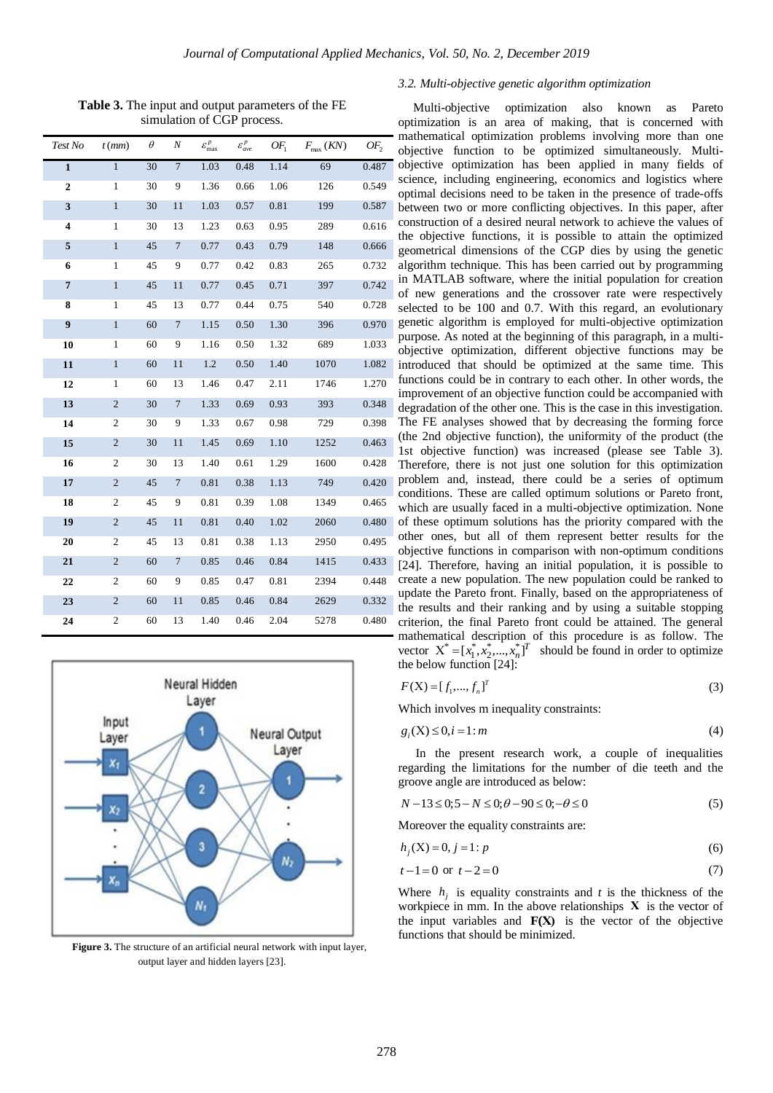**Table 3.** The input and output parameters of the FE simulation of CGP process.

| Test No                 | $t$ (mm)         | $\theta$ | N              | $\varepsilon _{\max}^p$ | $\varepsilon^p_{ave}$ | $OF_1$ | $F_{\text{max}}$ (KN) | OF <sub>2</sub> |
|-------------------------|------------------|----------|----------------|-------------------------|-----------------------|--------|-----------------------|-----------------|
| $\mathbf{1}$            | 1                | 30       | $\overline{7}$ | 1.03                    | 0.48                  | 1.14   | 69                    | 0.487           |
| $\boldsymbol{2}$        | $\mathbf{1}$     | 30       | 9              | 1.36                    | 0.66                  | 1.06   | 126                   | 0.549           |
| 3                       | $\mathbf{1}$     | 30       | 11             | 1.03                    | 0.57                  | 0.81   | 199                   | 0.587           |
| $\overline{\mathbf{4}}$ | 1                | 30       | 13             | 1.23                    | 0.63                  | 0.95   | 289                   | 0.616           |
| 5                       | $\mathbf{1}$     | 45       | $\overline{7}$ | 0.77                    | 0.43                  | 0.79   | 148                   | 0.666           |
| 6                       | $\mathbf{1}$     | 45       | 9              | 0.77                    | 0.42                  | 0.83   | 265                   | 0.732           |
| $\overline{7}$          | $\mathbf{1}$     | 45       | 11             | 0.77                    | 0.45                  | 0.71   | 397                   | 0.742           |
| 8                       | $\mathbf{1}$     | 45       | 13             | 0.77                    | 0.44                  | 0.75   | 540                   | 0.728           |
| 9                       | $\mathbf{1}$     | 60       | $\overline{7}$ | 1.15                    | 0.50                  | 1.30   | 396                   | 0.970           |
| 10                      | $\mathbf{1}$     | 60       | 9              | 1.16                    | 0.50                  | 1.32   | 689                   | 1.033           |
| 11                      | $\,1$            | 60       | 11             | 1.2                     | 0.50                  | 1.40   | 1070                  | 1.082           |
| 12                      | $\mathbf{1}$     | 60       | 13             | 1.46                    | 0.47                  | 2.11   | 1746                  | 1.270           |
| 13                      | $\mathbf{2}$     | 30       | $\tau$         | 1.33                    | 0.69                  | 0.93   | 393                   | 0.348           |
| 14                      | 2                | 30       | 9              | 1.33                    | 0.67                  | 0.98   | 729                   | 0.398           |
| 15                      | $\mathbf{2}$     | 30       | 11             | 1.45                    | 0.69                  | 1.10   | 1252                  | 0.463           |
| 16                      | $\mathfrak{2}$   | 30       | 13             | 1.40                    | 0.61                  | 1.29   | 1600                  | 0.428           |
| 17                      | $\mathbf{2}$     | 45       | $\overline{7}$ | 0.81                    | 0.38                  | 1.13   | 749                   | 0.420           |
| 18                      | $\mathfrak{2}$   | 45       | 9              | 0.81                    | 0.39                  | 1.08   | 1349                  | 0.465           |
| 19                      | $\mathbf{2}$     | 45       | 11             | 0.81                    | 0.40                  | 1.02   | 2060                  | 0.480           |
| 20                      | $\mathfrak{2}$   | 45       | 13             | 0.81                    | 0.38                  | 1.13   | 2950                  | 0.495           |
| 21                      | $\mathbf{2}$     | 60       | 7              | 0.85                    | 0.46                  | 0.84   | 1415                  | 0.433           |
| 22                      | 2                | 60       | 9              | 0.85                    | 0.47                  | 0.81   | 2394                  | 0.448           |
| 23                      | $\boldsymbol{2}$ | 60       | 11             | 0.85                    | 0.46                  | 0.84   | 2629                  | 0.332           |
| 24                      | $\mathfrak{2}$   | 60       | 13             | 1.40                    | 0.46                  | 2.04   | 5278                  | 0.480           |



**Figure 3.** The structure of an artificial neural network with input layer, output layer and hidden layers [23].

#### *3.2. Multi-objective genetic algorithm optimization*

Multi-objective optimization also known as Pareto optimization is an area of making, that is concerned with mathematical optimization problems involving more than one objective function to be optimized simultaneously. Multiobjective optimization has been applied in many fields of science, including engineering, economics and logistics where optimal decisions need to be taken in the presence of trade-offs between two or more conflicting objectives. In this paper, after construction of a desired neural network to achieve the values of the objective functions, it is possible to attain the optimized geometrical dimensions of the CGP dies by using the genetic algorithm technique. This has been carried out by programming in MATLAB software, where the initial population for creation of new generations and the crossover rate were respectively selected to be 100 and 0.7. With this regard, an evolutionary genetic algorithm is employed for multi-objective optimization purpose. As noted at the beginning of this paragraph, in a multiobjective optimization, different objective functions may be introduced that should be optimized at the same time. This functions could be in contrary to each other. In other words, the improvement of an objective function could be accompanied with degradation of the other one. This is the case in this investigation. The FE analyses showed that by decreasing the forming force (the 2nd objective function), the uniformity of the product (the 1st objective function) was increased (please see Table 3). Therefore, there is not just one solution for this optimization problem and, instead, there could be a series of optimum conditions. These are called optimum solutions or Pareto front, which are usually faced in a multi-objective optimization. None of these optimum solutions has the priority compared with the other ones, but all of them represent better results for the objective functions in comparison with non-optimum conditions [24]. Therefore, having an initial population, it is possible to create a new population. The new population could be ranked to update the Pareto front. Finally, based on the appropriateness of the results and their ranking and by using a suitable stopping criterion, the final Pareto front could be attained. The general mathematical description of this procedure is as follow. The vector  $X^* = [x_1^*, x_2^*,..., x_n^*]^T$  should be found in order to optimize the below function [24]:

$$
F(X) = [f_1, ..., f_n]^T
$$
 (3)

Which involves m inequality constraints:

$$
g_i(X) \le 0, i = 1 : m \tag{4}
$$

In the present research work, a couple of inequalities regarding the limitations for the number of die teeth and the groove angle are introduced as below:

$$
N - 13 \le 0; 5 - N \le 0; \theta - 90 \le 0; -\theta \le 0
$$
\n(5)

Moreover the equality constraints are:

$$
h_j(X) = 0, j = 1: p \tag{6}
$$

$$
t - 1 = 0 \text{ or } t - 2 = 0 \tag{7}
$$

Where  $h_i$  is equality constraints and *t* is the thickness of the workpiece in mm. In the above relationships **Χ** is the vector of the input variables and  $F(X)$  is the vector of the objective functions that should be minimized.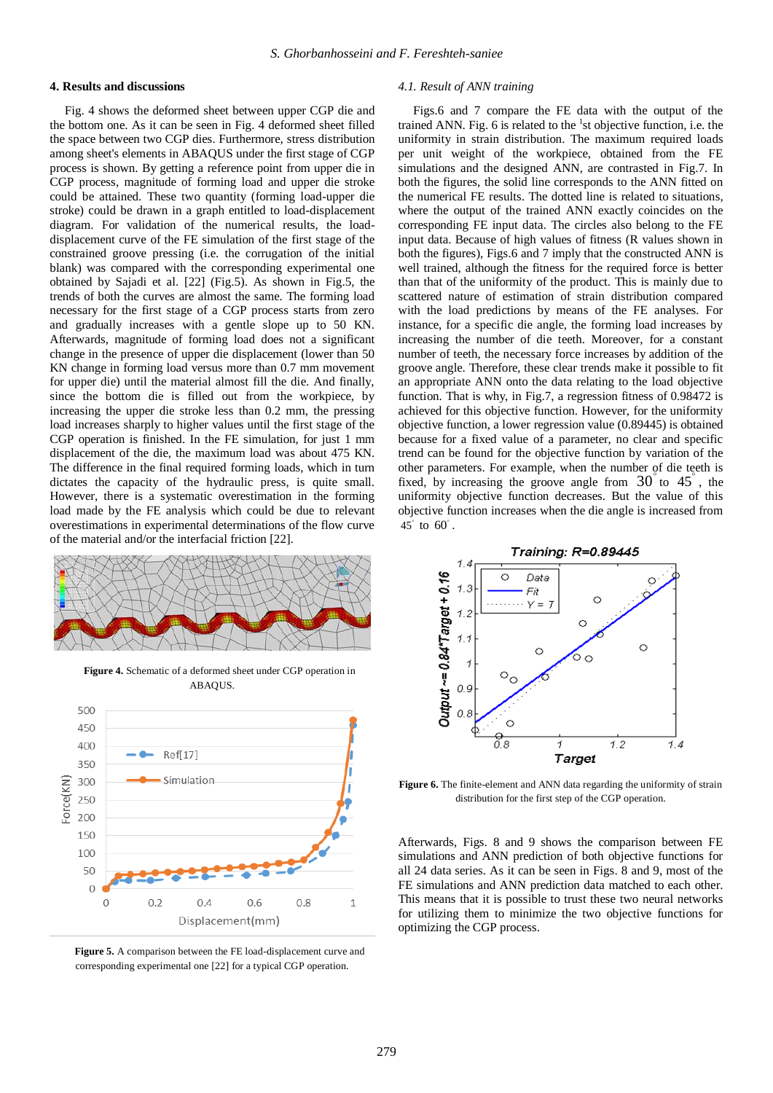#### **4. Results and discussions**

Fig. 4 shows the deformed sheet between upper CGP die and the bottom one. As it can be seen in Fig. 4 deformed sheet filled the space between two CGP dies. Furthermore, stress distribution among sheet's elements in ABAQUS under the first stage of CGP process is shown. By getting a reference point from upper die in CGP process, magnitude of forming load and upper die stroke could be attained. These two quantity (forming load-upper die stroke) could be drawn in a graph entitled to load-displacement diagram. For validation of the numerical results, the loaddisplacement curve of the FE simulation of the first stage of the constrained groove pressing (i.e. the corrugation of the initial blank) was compared with the corresponding experimental one obtained by Sajadi et al. [22] (Fig.5). As shown in Fig.5, the trends of both the curves are almost the same. The forming load necessary for the first stage of a CGP process starts from zero and gradually increases with a gentle slope up to 50 KN. Afterwards, magnitude of forming load does not a significant change in the presence of upper die displacement (lower than 50 KN change in forming load versus more than 0.7 mm movement for upper die) until the material almost fill the die. And finally, since the bottom die is filled out from the workpiece, by increasing the upper die stroke less than 0.2 mm, the pressing load increases sharply to higher values until the first stage of the CGP operation is finished. In the FE simulation, for just 1 mm displacement of the die, the maximum load was about 475 KN. The difference in the final required forming loads, which in turn dictates the capacity of the hydraulic press, is quite small. However, there is a systematic overestimation in the forming load made by the FE analysis which could be due to relevant overestimations in experimental determinations of the flow curve of the material and/or the interfacial friction [22].



**Figure 4.** Schematic of a deformed sheet under CGP operation in ABAQUS.



**Figure 5.** A comparison between the FE load-displacement curve and corresponding experimental one [22] for a typical CGP operation.

#### *4.1. Result of ANN training*

Figs.6 and 7 compare the FE data with the output of the trained ANN. Fig. 6 is related to the <sup>1</sup>st objective function, i.e. the uniformity in strain distribution. The maximum required loads per unit weight of the workpiece, obtained from the FE simulations and the designed ANN, are contrasted in Fig.7. In both the figures, the solid line corresponds to the ANN fitted on the numerical FE results. The dotted line is related to situations, where the output of the trained ANN exactly coincides on the corresponding FE input data. The circles also belong to the FE input data. Because of high values of fitness (R values shown in both the figures), Figs.6 and 7 imply that the constructed ANN is well trained, although the fitness for the required force is better than that of the uniformity of the product. This is mainly due to scattered nature of estimation of strain distribution compared with the load predictions by means of the FE analyses. For instance, for a specific die angle, the forming load increases by increasing the number of die teeth. Moreover, for a constant number of teeth, the necessary force increases by addition of the groove angle. Therefore, these clear trends make it possible to fit an appropriate ANN onto the data relating to the load objective function. That is why, in Fig.7, a regression fitness of 0.98472 is achieved for this objective function. However, for the uniformity objective function, a lower regression value (0.89445) is obtained because for a fixed value of a parameter, no clear and specific trend can be found for the objective function by variation of the other parameters. For example, when the number of die teeth is fixed, by increasing the groove angle from  $30^{\circ}$  to  $45^{\circ}$ , the uniformity objective function decreases. But the value of this objective function increases when the die angle is increased from 45 to 60 .



Figure 6. The finite-element and ANN data regarding the uniformity of strain distribution for the first step of the CGP operation.

Afterwards, Figs. 8 and 9 shows the comparison between FE simulations and ANN prediction of both objective functions for all 24 data series. As it can be seen in Figs. 8 and 9, most of the FE simulations and ANN prediction data matched to each other. This means that it is possible to trust these two neural networks for utilizing them to minimize the two objective functions for optimizing the CGP process.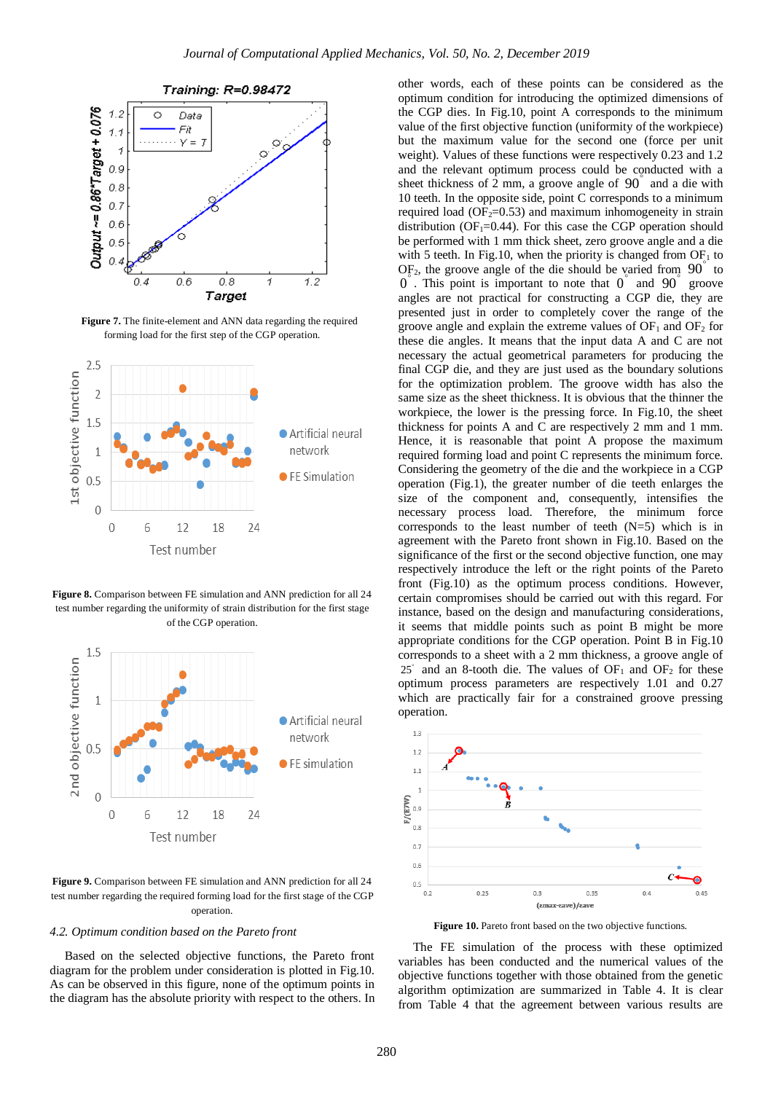

**Figure 7.** The finite-element and ANN data regarding the required forming load for the first step of the CGP operation.



**Figure 8.** Comparison between FE simulation and ANN prediction for all 24 test number regarding the uniformity of strain distribution for the first stage of the CGP operation.



Figure 9. Comparison between FE simulation and ANN prediction for all 24 test number regarding the required forming load for the first stage of the CGP operation.

#### *4.2. Optimum condition based on the Pareto front*

Based on the selected objective functions, the Pareto front diagram for the problem under consideration is plotted in Fig.10. As can be observed in this figure, none of the optimum points in the diagram has the absolute priority with respect to the others. In

other words, each of these points can be considered as the optimum condition for introducing the optimized dimensions of the CGP dies. In Fig.10, point A corresponds to the minimum value of the first objective function (uniformity of the workpiece) but the maximum value for the second one (force per unit weight). Values of these functions were respectively 0.23 and 1.2 and the relevant optimum process could be conducted with a sheet thickness of  $2$  mm, a groove angle of  $90^{\degree}$  and a die with 10 teeth. In the opposite side, point C corresponds to a minimum required load ( $OF_2=0.53$ ) and maximum inhomogeneity in strain distribution ( $OF_1=0.44$ ). For this case the CGP operation should be performed with 1 mm thick sheet, zero groove angle and a die with 5 teeth. In Fig.10, when the priority is changed from  $\text{OF}_1$  to  $OF<sub>2</sub>$ , the groove angle of the die should be varied from  $90^{\degree}$  to  $0^{\degree}$ . This point is important to note that  $0^{\degree}$  and  $90^{\degree}$  groove angles are not practical for constructing a CGP die, they are presented just in order to completely cover the range of the groove angle and explain the extreme values of  $OF<sub>1</sub>$  and  $OF<sub>2</sub>$  for these die angles. It means that the input data A and C are not necessary the actual geometrical parameters for producing the final CGP die, and they are just used as the boundary solutions for the optimization problem. The groove width has also the same size as the sheet thickness. It is obvious that the thinner the workpiece, the lower is the pressing force. In Fig.10, the sheet thickness for points A and C are respectively 2 mm and 1 mm. Hence, it is reasonable that point A propose the maximum required forming load and point C represents the minimum force. Considering the geometry of the die and the workpiece in a CGP operation (Fig.1), the greater number of die teeth enlarges the size of the component and, consequently, intensifies the necessary process load. Therefore, the minimum force corresponds to the least number of teeth  $(N=5)$  which is in agreement with the Pareto front shown in Fig.10. Based on the significance of the first or the second objective function, one may respectively introduce the left or the right points of the Pareto front (Fig.10) as the optimum process conditions. However, certain compromises should be carried out with this regard. For instance, based on the design and manufacturing considerations, it seems that middle points such as point B might be more appropriate conditions for the CGP operation. Point B in Fig.10 corresponds to a sheet with a 2 mm thickness, a groove angle of  $25^{\circ}$  and an 8-tooth die. The values of OF<sub>1</sub> and OF<sub>2</sub> for these optimum process parameters are respectively 1.01 and 0.27 which are practically fair for a constrained groove pressing operation.



Figure 10. Pareto front based on the two objective functions.

The FE simulation of the process with these optimized variables has been conducted and the numerical values of the objective functions together with those obtained from the genetic algorithm optimization are summarized in Table 4. It is clear from Table 4 that the agreement between various results are